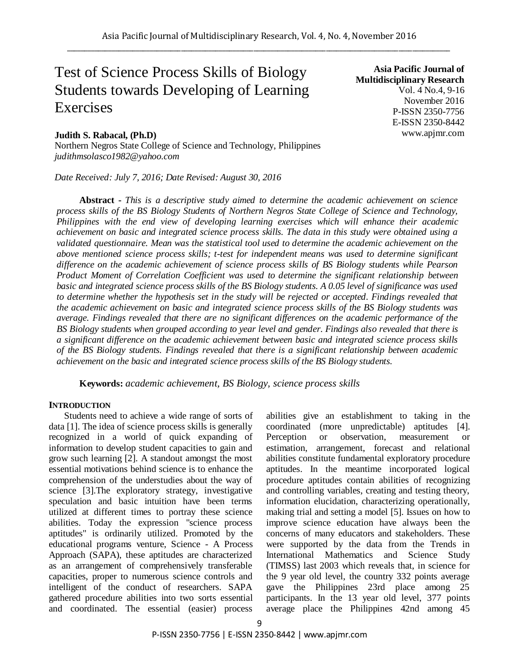# Test of Science Process Skills of Biology Students towards Developing of Learning Exercises

# **Judith S. Rabacal, (Ph.D)**

Northern Negros State College of Science and Technology, Philippines *judithmsolasco1982@yahoo.com*

*Date Received: July 7, 2016; Date Revised: August 30, 2016*

**Asia Pacific Journal of Multidisciplinary Research** Vol. 4 No.4, 9-16 November 2016 P-ISSN 2350-7756 E-ISSN 2350-8442 www.apjmr.com

**Abstract -** *This is a descriptive study aimed to determine the academic achievement on science process skills of the BS Biology Students of Northern Negros State College of Science and Technology, Philippines with the end view of developing learning exercises which will enhance their academic achievement on basic and integrated science process skills. The data in this study were obtained using a validated questionnaire. Mean was the statistical tool used to determine the academic achievement on the above mentioned science process skills; t-test for independent means was used to determine significant difference on the academic achievement of science process skills of BS Biology students while Pearson Product Moment of Correlation Coefficient was used to determine the significant relationship between basic and integrated science process skills of the BS Biology students. A 0.05 level of significance was used to determine whether the hypothesis set in the study will be rejected or accepted. Findings revealed that the academic achievement on basic and integrated science process skills of the BS Biology students was average. Findings revealed that there are no significant differences on the academic performance of the BS Biology students when grouped according to year level and gender. Findings also revealed that there is a significant difference on the academic achievement between basic and integrated science process skills of the BS Biology students. Findings revealed that there is a significant relationship between academic achievement on the basic and integrated science process skills of the BS Biology students.*

**Keywords:** *academic achievement, BS Biology, science process skills*

#### **INTRODUCTION**

Students need to achieve a wide range of sorts of data [1]. The idea of science process skills is generally recognized in a world of quick expanding of information to develop student capacities to gain and grow such learning [2]. A standout amongst the most essential motivations behind science is to enhance the comprehension of the understudies about the way of science [3].The exploratory strategy, investigative speculation and basic intuition have been terms utilized at different times to portray these science abilities. Today the expression "science process aptitudes" is ordinarily utilized. Promoted by the educational programs venture, Science - A Process Approach (SAPA), these aptitudes are characterized as an arrangement of comprehensively transferable capacities, proper to numerous science controls and intelligent of the conduct of researchers. SAPA gathered procedure abilities into two sorts essential and coordinated. The essential (easier) process

abilities give an establishment to taking in the coordinated (more unpredictable) aptitudes [4]. Perception or observation, measurement or estimation, arrangement, forecast and relational abilities constitute fundamental exploratory procedure aptitudes. In the meantime incorporated logical procedure aptitudes contain abilities of recognizing and controlling variables, creating and testing theory, information elucidation, characterizing operationally, making trial and setting a model [5]. Issues on how to improve science education have always been the concerns of many educators and stakeholders. These were supported by the data from the Trends in International Mathematics and Science Study (TIMSS) last 2003 which reveals that, in science for the 9 year old level, the country 332 points average gave the Philippines 23rd place among 25 participants. In the 13 year old level, 377 points average place the Philippines 42nd among 45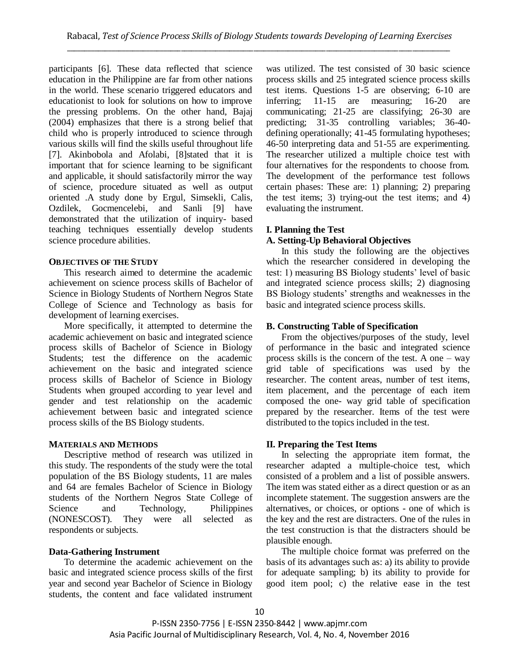participants [6]. These data reflected that science education in the Philippine are far from other nations in the world. These scenario triggered educators and educationist to look for solutions on how to improve the pressing problems. On the other hand, Bajaj (2004) emphasizes that there is a strong belief that child who is properly introduced to science through various skills will find the skills useful throughout life [7]. Akinbobola and Afolabi, [8]stated that it is important that for science learning to be significant and applicable, it should satisfactorily mirror the way of science, procedure situated as well as output oriented .A study done by Ergul, Simsekli, Calis, Ozdilek, Gocmencelebi, and Sanli [9] have demonstrated that the utilization of inquiry- based teaching techniques essentially develop students science procedure abilities.

#### **OBJECTIVES OF THE STUDY**

This research aimed to determine the academic achievement on science process skills of Bachelor of Science in Biology Students of Northern Negros State College of Science and Technology as basis for development of learning exercises.

More specifically, it attempted to determine the academic achievement on basic and integrated science process skills of Bachelor of Science in Biology Students; test the difference on the academic achievement on the basic and integrated science process skills of Bachelor of Science in Biology Students when grouped according to year level and gender and test relationship on the academic achievement between basic and integrated science process skills of the BS Biology students.

# **MATERIALS AND METHODS**

Descriptive method of research was utilized in this study. The respondents of the study were the total population of the BS Biology students, 11 are males and 64 are females Bachelor of Science in Biology students of the Northern Negros State College of Science and Technology, Philippines (NONESCOST). They were all selected as respondents or subjects.

# **Data-Gathering Instrument**

To determine the academic achievement on the basic and integrated science process skills of the first year and second year Bachelor of Science in Biology students, the content and face validated instrument was utilized. The test consisted of 30 basic science process skills and 25 integrated science process skills test items. Questions 1-5 are observing; 6-10 are inferring; 11-15 are measuring; 16-20 are communicating; 21-25 are classifying; 26-30 are predicting; 31-35 controlling variables; 36-40 defining operationally; 41-45 formulating hypotheses; 46-50 interpreting data and 51-55 are experimenting. The researcher utilized a multiple choice test with four alternatives for the respondents to choose from. The development of the performance test follows certain phases: These are: 1) planning; 2) preparing the test items; 3) trying-out the test items; and 4) evaluating the instrument.

# **I. Planning the Test**

# **A. Setting-Up Behavioral Objectives**

In this study the following are the objectives which the researcher considered in developing the test: 1) measuring BS Biology students' level of basic and integrated science process skills; 2) diagnosing BS Biology students' strengths and weaknesses in the basic and integrated science process skills.

# **B. Constructing Table of Specification**

From the objectives/purposes of the study, level of performance in the basic and integrated science process skills is the concern of the test. A one – way grid table of specifications was used by the researcher. The content areas, number of test items, item placement, and the percentage of each item composed the one- way grid table of specification prepared by the researcher. Items of the test were distributed to the topics included in the test.

# **II. Preparing the Test Items**

In selecting the appropriate item format, the researcher adapted a multiple-choice test, which consisted of a problem and a list of possible answers. The item was stated either as a direct question or as an incomplete statement. The suggestion answers are the alternatives, or choices, or options - one of which is the key and the rest are distracters. One of the rules in the test construction is that the distracters should be plausible enough.

The multiple choice format was preferred on the basis of its advantages such as: a) its ability to provide for adequate sampling; b) its ability to provide for good item pool; c) the relative ease in the test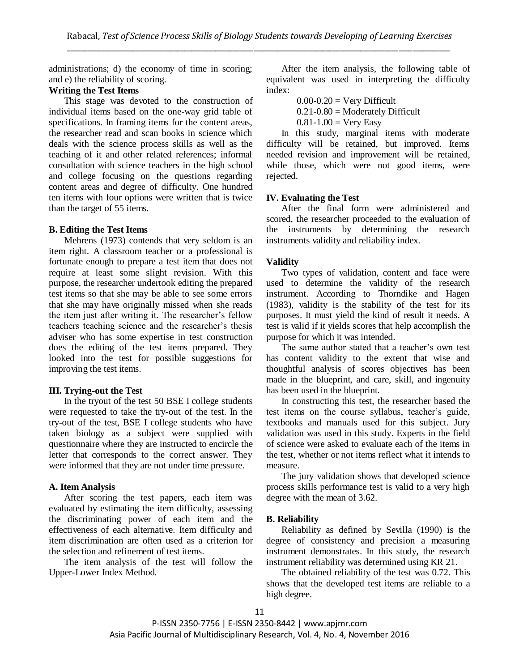administrations; d) the economy of time in scoring; and e) the reliability of scoring.

# **Writing the Test Items**

This stage was devoted to the construction of individual items based on the one-way grid table of specifications. In framing items for the content areas, the researcher read and scan books in science which deals with the science process skills as well as the teaching of it and other related references; informal consultation with science teachers in the high school and college focusing on the questions regarding content areas and degree of difficulty. One hundred ten items with four options were written that is twice than the target of 55 items.

#### **B. Editing the Test Items**

Mehrens (1973) contends that very seldom is an item right. A classroom teacher or a professional is fortunate enough to prepare a test item that does not require at least some slight revision. With this purpose, the researcher undertook editing the prepared test items so that she may be able to see some errors that she may have originally missed when she reads the item just after writing it. The researcher's fellow teachers teaching science and the researcher's thesis adviser who has some expertise in test construction does the editing of the test items prepared. They looked into the test for possible suggestions for improving the test items.

# **III. Trying-out the Test**

In the tryout of the test 50 BSE I college students were requested to take the try-out of the test. In the try-out of the test, BSE I college students who have taken biology as a subject were supplied with questionnaire where they are instructed to encircle the letter that corresponds to the correct answer. They were informed that they are not under time pressure.

# **A. Item Analysis**

After scoring the test papers, each item was evaluated by estimating the item difficulty, assessing the discriminating power of each item and the effectiveness of each alternative. Item difficulty and item discrimination are often used as a criterion for the selection and refinement of test items.

The item analysis of the test will follow the Upper-Lower Index Method.

After the item analysis, the following table of equivalent was used in interpreting the difficulty index:

 $0.00-0.20$  = Very Difficult

 $0.21 - 0.80$  = Moderately Difficult

 $0.81 - 1.00 = \text{Very Easy}$ 

In this study, marginal items with moderate difficulty will be retained, but improved. Items needed revision and improvement will be retained, while those, which were not good items, were rejected.

# **IV. Evaluating the Test**

After the final form were administered and scored, the researcher proceeded to the evaluation of the instruments by determining the research instruments validity and reliability index.

#### **Validity**

Two types of validation, content and face were used to determine the validity of the research instrument. According to Thorndike and Hagen (1983), validity is the stability of the test for its purposes. It must yield the kind of result it needs. A test is valid if it yields scores that help accomplish the purpose for which it was intended.

The same author stated that a teacher's own test has content validity to the extent that wise and thoughtful analysis of scores objectives has been made in the blueprint, and care, skill, and ingenuity has been used in the blueprint.

In constructing this test, the researcher based the test items on the course syllabus, teacher's guide, textbooks and manuals used for this subject. Jury validation was used in this study. Experts in the field of science were asked to evaluate each of the items in the test, whether or not items reflect what it intends to measure.

The jury validation shows that developed science process skills performance test is valid to a very high degree with the mean of 3.62.

# **B. Reliability**

Reliability as defined by Sevilla (1990) is the degree of consistency and precision a measuring instrument demonstrates. In this study, the research instrument reliability was determined using KR 21.

The obtained reliability of the test was 0.72. This shows that the developed test items are reliable to a high degree.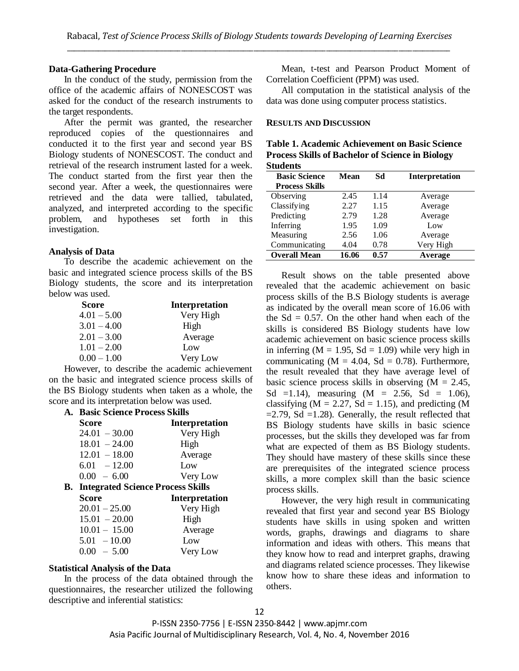#### **Data-Gathering Procedure**

In the conduct of the study, permission from the office of the academic affairs of NONESCOST was asked for the conduct of the research instruments to the target respondents.

After the permit was granted, the researcher reproduced copies of the questionnaires and conducted it to the first year and second year BS Biology students of NONESCOST. The conduct and retrieval of the research instrument lasted for a week. The conduct started from the first year then the second year. After a week, the questionnaires were retrieved and the data were tallied, tabulated, analyzed, and interpreted according to the specific problem, and hypotheses set forth in this investigation.

#### **Analysis of Data**

To describe the academic achievement on the basic and integrated science process skills of the BS Biology students, the score and its interpretation below was used.

| <b>Score</b>  | Interpretation |
|---------------|----------------|
| $4.01 - 5.00$ | Very High      |
| $3.01 - 4.00$ | High           |
| $2.01 - 3.00$ | Average        |
| $1.01 - 2.00$ | Low            |
| $0.00 - 1.00$ | Very Low       |

However, to describe the academic achievement on the basic and integrated science process skills of the BS Biology students when taken as a whole, the score and its interpretation below was used.

| А. | <b>Basic Science Process Skills</b>         |                       |
|----|---------------------------------------------|-----------------------|
|    | Score                                       | <b>Interpretation</b> |
|    | $24.01 - 30.00$                             | Very High             |
|    | $18.01 - 24.00$                             | High                  |
|    | $12.01 - 18.00$                             | Average               |
|    | $6.01 - 12.00$                              | Low                   |
|    | $0.00 - 6.00$                               | Very Low              |
|    | <b>B.</b> Integrated Science Process Skills |                       |
|    | Score                                       | <b>Interpretation</b> |
|    | $20.01 - 25.00$                             | Very High             |
|    | $15.01 - 20.00$                             | High                  |
|    |                                             |                       |
|    | $10.01 - 15.00$                             | Average               |
|    | $5.01 - 10.00$                              | Low                   |

#### **Statistical Analysis of the Data**

In the process of the data obtained through the questionnaires, the researcher utilized the following descriptive and inferential statistics:

Mean, t-test and Pearson Product Moment of Correlation Coefficient (PPM) was used.

All computation in the statistical analysis of the data was done using computer process statistics.

#### **RESULTS AND DISCUSSION**

| Table 1. Academic Achievement on Basic Science          |
|---------------------------------------------------------|
| <b>Process Skills of Bachelor of Science in Biology</b> |
| <b>Students</b>                                         |

| <b>Basic Science</b><br><b>Process Skills</b> | Mean  | Sd   | <b>Interpretation</b> |
|-----------------------------------------------|-------|------|-----------------------|
| Observing                                     | 2.45  | 1.14 | Average               |
| Classifying                                   | 2.27  | 1.15 | Average               |
| Predicting                                    | 2.79  | 1.28 | Average               |
| Inferring                                     | 1.95  | 1.09 | Low                   |
| Measuring                                     | 2.56  | 1.06 | Average               |
| Communicating                                 | 4.04  | 0.78 | Very High             |
| <b>Overall Mean</b>                           | 16.06 | 0.57 | Average               |

Result shows on the table presented above revealed that the academic achievement on basic process skills of the B.S Biology students is average as indicated by the overall mean score of 16.06 with the  $Sd = 0.57$ . On the other hand when each of the skills is considered BS Biology students have low academic achievement on basic science process skills in inferring ( $M = 1.95$ ,  $Sd = 1.09$ ) while very high in communicating  $(M = 4.04, Sd = 0.78)$ . Furthermore, the result revealed that they have average level of basic science process skills in observing  $(M = 2.45)$ , Sd =1.14), measuring  $(M = 2.56, Sd = 1.06)$ , classifying ( $M = 2.27$ ,  $Sd = 1.15$ ), and predicting (M  $=2.79$ , Sd  $=1.28$ ). Generally, the result reflected that BS Biology students have skills in basic science processes, but the skills they developed was far from what are expected of them as BS Biology students. They should have mastery of these skills since these are prerequisites of the integrated science process skills, a more complex skill than the basic science process skills.

However, the very high result in communicating revealed that first year and second year BS Biology students have skills in using spoken and written words, graphs, drawings and diagrams to share information and ideas with others. This means that they know how to read and interpret graphs, drawing and diagrams related science processes. They likewise know how to share these ideas and information to others.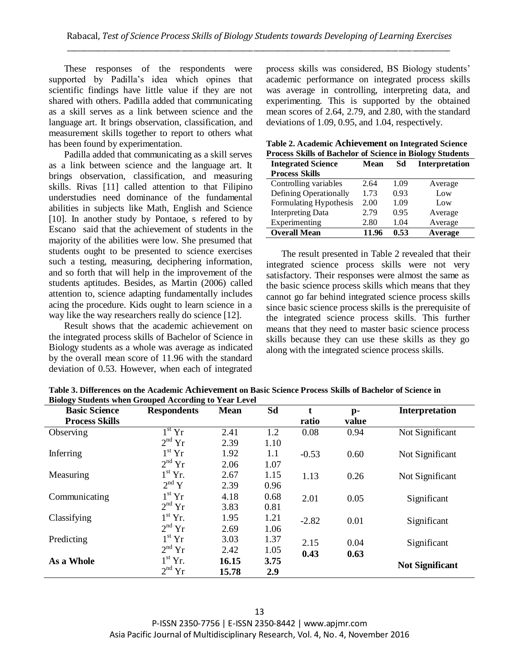These responses of the respondents were supported by Padilla's idea which opines that scientific findings have little value if they are not shared with others. Padilla added that communicating as a skill serves as a link between science and the language art. It brings observation, classification, and measurement skills together to report to others what has been found by experimentation.

Padilla added that communicating as a skill serves as a link between science and the language art. It brings observation, classification, and measuring skills. Rivas [11] called attention to that Filipino understudies need dominance of the fundamental abilities in subjects like Math, English and Science [10]. In another study by Pontaoe, s refered to by Escano said that the achievement of students in the majority of the abilities were low. She presumed that students ought to be presented to science exercises such a testing, measuring, deciphering information, and so forth that will help in the improvement of the students aptitudes. Besides, as Martin (2006) called attention to, science adapting fundamentally includes acing the procedure. Kids ought to learn science in a way like the way researchers really do science [12].

Result shows that the academic achievement on the integrated process skills of Bachelor of Science in Biology students as a whole was average as indicated by the overall mean score of 11.96 with the standard deviation of 0.53. However, when each of integrated

process skills was considered, BS Biology students' academic performance on integrated process skills was average in controlling, interpreting data, and experimenting. This is supported by the obtained mean scores of 2.64, 2.79, and 2.80, with the standard deviations of 1.09, 0.95, and 1.04, respectively.

|  | Table 2. Academic Achievement on Integrated Science              |  |
|--|------------------------------------------------------------------|--|
|  | <b>Process Skills of Bachelor of Science in Biology Students</b> |  |

|                           | I TOCESS SKIILS OF DACTICION OF SCIENCE IN DIOTOGY SUBJENTS |      |                       |  |  |  |  |
|---------------------------|-------------------------------------------------------------|------|-----------------------|--|--|--|--|
| <b>Integrated Science</b> | Mean                                                        | Sd   | <b>Interpretation</b> |  |  |  |  |
| <b>Process Skills</b>     |                                                             |      |                       |  |  |  |  |
| Controlling variables     | 2.64                                                        | 1.09 | Average               |  |  |  |  |
| Defining Operationally    | 1.73                                                        | 0.93 | Low                   |  |  |  |  |
| Formulating Hypothesis    | 2.00                                                        | 1.09 | Low                   |  |  |  |  |
| <b>Interpreting Data</b>  | 2.79                                                        | 0.95 | Average               |  |  |  |  |
| Experimenting             | 2.80                                                        | 1.04 | Average               |  |  |  |  |
| <b>Overall Mean</b>       | 11.96                                                       | 0.53 | Average               |  |  |  |  |

The result presented in Table 2 revealed that their integrated science process skills were not very satisfactory. Their responses were almost the same as the basic science process skills which means that they cannot go far behind integrated science process skills since basic science process skills is the prerequisite of the integrated science process skills. This further means that they need to master basic science process skills because they can use these skills as they go along with the integrated science process skills.

| Droiogy buddents when Grouped According to Fear Lever<br><b>Basic Science</b> | <b>Respondents</b>      | <b>Mean</b> | Sd   |         | $\mathbf{p}$ - | <b>Interpretation</b>  |
|-------------------------------------------------------------------------------|-------------------------|-------------|------|---------|----------------|------------------------|
| <b>Process Skills</b>                                                         |                         |             |      | ratio   | value          |                        |
| Observing                                                                     | $1^{\rm st}\, {\rm Yr}$ | 2.41        | 1.2  | 0.08    | 0.94           | Not Significant        |
|                                                                               | $2^{nd}$ Yr             | 2.39        | 1.10 |         |                |                        |
| Inferring                                                                     | $1^{\rm st}$ $\rm{Yr}$  | 1.92        | 1.1  | $-0.53$ | 0.60           | Not Significant        |
|                                                                               | $2^{nd}$ Yr             | 2.06        | 1.07 |         |                |                        |
| Measuring                                                                     | $1^{\rm st}$ Yr.        | 2.67        | 1.15 | 1.13    | 0.26           | Not Significant        |
|                                                                               | $2^{nd} Y$              | 2.39        | 0.96 |         |                |                        |
| Communicating                                                                 | $1st$ Yr                | 4.18        | 0.68 | 2.01    | 0.05           | Significant            |
|                                                                               | $2^{nd}$ Yr             | 3.83        | 0.81 |         |                |                        |
| Classifying                                                                   | $1^{\rm st}$ Yr.        | 1.95        | 1.21 | $-2.82$ | 0.01           | Significant            |
|                                                                               | $2nd$ Yr                | 2.69        | 1.06 |         |                |                        |
| Predicting                                                                    | $1st$ Yr                | 3.03        | 1.37 | 2.15    | 0.04           | Significant            |
|                                                                               | $2nd$ Yr                | 2.42        | 1.05 | 0.43    | 0.63           |                        |
| As a Whole                                                                    | $1st$ Yr.               | 16.15       | 3.75 |         |                | <b>Not Significant</b> |
|                                                                               | $2^{nd}$ Yr             | 15.78       | 2.9  |         |                |                        |

**Table 3. Differences on the Academic Achievement on Basic Science Process Skills of Bachelor of Science in Biology Students when Grouped According to Year Level**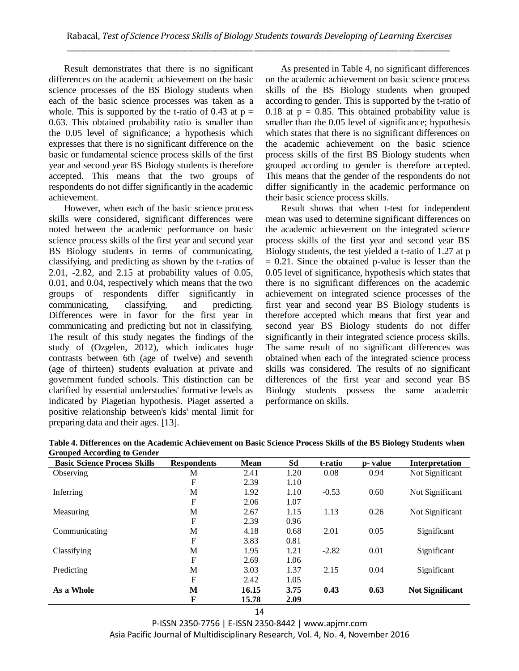Result demonstrates that there is no significant differences on the academic achievement on the basic science processes of the BS Biology students when each of the basic science processes was taken as a whole. This is supported by the t-ratio of 0.43 at  $p =$ 0.63. This obtained probability ratio is smaller than the 0.05 level of significance; a hypothesis which expresses that there is no significant difference on the basic or fundamental science process skills of the first year and second year BS Biology students is therefore accepted. This means that the two groups of respondents do not differ significantly in the academic achievement.

However, when each of the basic science process skills were considered, significant differences were noted between the academic performance on basic science process skills of the first year and second year BS Biology students in terms of communicating, classifying, and predicting as shown by the t-ratios of 2.01, -2.82, and 2.15 at probability values of 0.05, 0.01, and 0.04, respectively which means that the two groups of respondents differ significantly in communicating, classifying, and predicting. Differences were in favor for the first year in communicating and predicting but not in classifying. The result of this study negates the findings of the study of (Ozgelen, 2012), which indicates huge contrasts between 6th (age of twelve) and seventh (age of thirteen) students evaluation at private and government funded schools. This distinction can be clarified by essential understudies' formative levels as indicated by Piagetian hypothesis. Piaget asserted a positive relationship between's kids' mental limit for preparing data and their ages. [13].

As presented in Table 4, no significant differences on the academic achievement on basic science process skills of the BS Biology students when grouped according to gender. This is supported by the t-ratio of 0.18 at  $p = 0.85$ . This obtained probability value is smaller than the 0.05 level of significance; hypothesis which states that there is no significant differences on the academic achievement on the basic science process skills of the first BS Biology students when grouped according to gender is therefore accepted. This means that the gender of the respondents do not differ significantly in the academic performance on their basic science process skills.

Result shows that when t-test for independent mean was used to determine significant differences on the academic achievement on the integrated science process skills of the first year and second year BS Biology students, the test yielded a t-ratio of 1.27 at p  $= 0.21$ . Since the obtained p-value is lesser than the 0.05 level of significance, hypothesis which states that there is no significant differences on the academic achievement on integrated science processes of the first year and second year BS Biology students is therefore accepted which means that first year and second year BS Biology students do not differ significantly in their integrated science process skills. The same result of no significant differences was obtained when each of the integrated science process skills was considered. The results of no significant differences of the first year and second year BS Biology students possess the same academic performance on skills.

| <b>Basic Science Process Skills</b> | <b>Respondents</b> | <b>Mean</b> | Sd   | t-ratio | p- value | <b>Interpretation</b>  |
|-------------------------------------|--------------------|-------------|------|---------|----------|------------------------|
| Observing                           | М                  | 2.41        | 1.20 | 0.08    | 0.94     | Not Significant        |
|                                     | F                  | 2.39        | 1.10 |         |          |                        |
| Inferring                           | M                  | 1.92        | 1.10 | $-0.53$ | 0.60     | Not Significant        |
|                                     | F                  | 2.06        | 1.07 |         |          |                        |
| Measuring                           | M                  | 2.67        | 1.15 | 1.13    | 0.26     | Not Significant        |
|                                     | F                  | 2.39        | 0.96 |         |          |                        |
| Communicating                       | M                  | 4.18        | 0.68 | 2.01    | 0.05     | Significant            |
|                                     | F                  | 3.83        | 0.81 |         |          |                        |
| Classifying                         | M                  | 1.95        | 1.21 | $-2.82$ | 0.01     | Significant            |
|                                     | F                  | 2.69        | 1.06 |         |          |                        |
| Predicting                          | M                  | 3.03        | 1.37 | 2.15    | 0.04     | Significant            |
|                                     | F                  | 2.42        | 1.05 |         |          |                        |
| As a Whole                          | M                  | 16.15       | 3.75 | 0.43    | 0.63     | <b>Not Significant</b> |
|                                     | F                  | 15.78       | 2.09 |         |          |                        |

**Table 4. Differences on the Academic Achievement on Basic Science Process Skills of the BS Biology Students when Grouped According to Gender**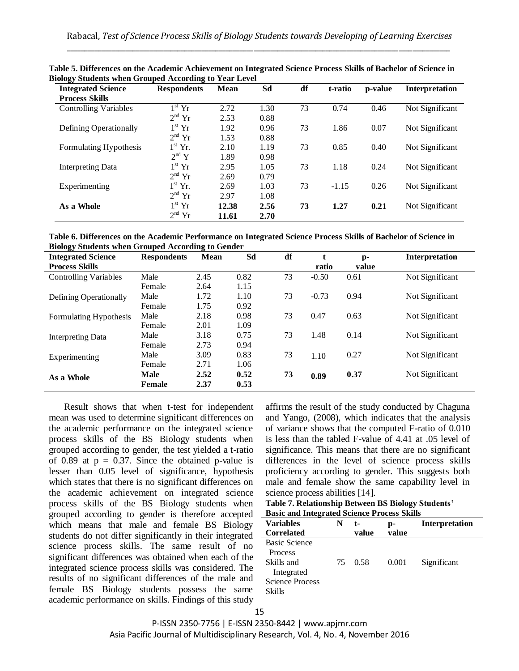| 'ອະ<br><b>Integrated Science</b> | <b>Respondents</b>            | <b>Mean</b> | Sd   | df | t-ratio | p-value | Interpretation  |
|----------------------------------|-------------------------------|-------------|------|----|---------|---------|-----------------|
| <b>Process Skills</b>            |                               |             |      |    |         |         |                 |
| <b>Controlling Variables</b>     | $\overline{1}^{\text{st}}$ Yr | 2.72        | 1.30 | 73 | 0.74    | 0.46    | Not Significant |
|                                  | $2^{nd}$ Yr                   | 2.53        | 0.88 |    |         |         |                 |
| Defining Operationally           | $1^{\rm st}$ Yr               | 1.92        | 0.96 | 73 | 1.86    | 0.07    | Not Significant |
|                                  | $2^{nd}$ Yr                   | 1.53        | 0.88 |    |         |         |                 |
| Formulating Hypothesis           | $1st$ Yr.                     | 2.10        | 1.19 | 73 | 0.85    | 0.40    | Not Significant |
|                                  | $2^{\text{nd}}$ Y             | 1.89        | 0.98 |    |         |         |                 |
| Interpreting Data                | $1^{\rm st}$ Yr               | 2.95        | 1.05 | 73 | 1.18    | 0.24    | Not Significant |
|                                  | $2nd$ Yr                      | 2.69        | 0.79 |    |         |         |                 |
| Experimenting                    | $1st$ Yr.                     | 2.69        | 1.03 | 73 | $-1.15$ | 0.26    | Not Significant |
|                                  | $2nd$ Yr                      | 2.97        | 1.08 |    |         |         |                 |
| As a Whole                       | $1st$ Yr                      | 12.38       | 2.56 | 73 | 1.27    | 0.21    | Not Significant |
|                                  | $2nd$ Yr                      | 11.61       | 2.70 |    |         |         |                 |

**Table 5. Differences on the Academic Achievement on Integrated Science Process Skills of Bachelor of Science in Biology Students when Grouped According to Year Level**

**Table 6. Differences on the Academic Performance on Integrated Science Process Skills of Bachelor of Science in Biology Students when Grouped According to Gender**

| $\tilde{ }$<br><b>Integrated Science</b> | <b>Respondents</b> | <b>Mean</b> | Sd   | df | t       | $p-$  | Interpretation  |
|------------------------------------------|--------------------|-------------|------|----|---------|-------|-----------------|
| <b>Process Skills</b>                    |                    |             |      |    | ratio   | value |                 |
| <b>Controlling Variables</b>             | Male               | 2.45        | 0.82 | 73 | $-0.50$ | 0.61  | Not Significant |
|                                          | Female             | 2.64        | 1.15 |    |         |       |                 |
| Defining Operationally                   | Male               | 1.72        | 1.10 | 73 | $-0.73$ | 0.94  | Not Significant |
|                                          | Female             | 1.75        | 0.92 |    |         |       |                 |
| Formulating Hypothesis                   | Male               | 2.18        | 0.98 | 73 | 0.47    | 0.63  | Not Significant |
|                                          | Female             | 2.01        | 1.09 |    |         |       |                 |
| Interpreting Data                        | Male               | 3.18        | 0.75 | 73 | 1.48    | 0.14  | Not Significant |
|                                          | Female             | 2.73        | 0.94 |    |         |       |                 |
| Experimenting                            | Male               | 3.09        | 0.83 | 73 | 1.10    | 0.27  | Not Significant |
|                                          | Female             | 2.71        | 1.06 |    |         |       |                 |
| As a Whole                               | <b>Male</b>        | 2.52        | 0.52 | 73 | 0.89    | 0.37  | Not Significant |
|                                          | <b>Female</b>      | 2.37        | 0.53 |    |         |       |                 |

Result shows that when t-test for independent mean was used to determine significant differences on the academic performance on the integrated science process skills of the BS Biology students when grouped according to gender, the test yielded a t-ratio of 0.89 at  $p = 0.37$ . Since the obtained p-value is lesser than 0.05 level of significance, hypothesis which states that there is no significant differences on the academic achievement on integrated science process skills of the BS Biology students when grouped according to gender is therefore accepted which means that male and female BS Biology students do not differ significantly in their integrated science process skills. The same result of no significant differences was obtained when each of the integrated science process skills was considered. The results of no significant differences of the male and female BS Biology students possess the same academic performance on skills. Findings of this study

affirms the result of the study conducted by Chaguna and Yango, (2008), which indicates that the analysis of variance shows that the computed F-ratio of 0.010 is less than the tabled F-value of 4.41 at .05 level of significance. This means that there are no significant differences in the level of science process skills proficiency according to gender. This suggests both male and female show the same capability level in science process abilities [14].

**Table 7. Relationship Between BS Biology Students' Basic and Integrated Science Process Skills**

| <b>Variables</b>       | N  | t-    | p-    | Interpretation |
|------------------------|----|-------|-------|----------------|
| <b>Correlated</b>      |    | value | value |                |
| <b>Basic Science</b>   |    |       |       |                |
| <b>Process</b>         |    |       |       |                |
| Skills and             | 75 | 0.58  | 0.001 | Significant    |
| Integrated             |    |       |       |                |
| <b>Science Process</b> |    |       |       |                |
| <b>Skills</b>          |    |       |       |                |